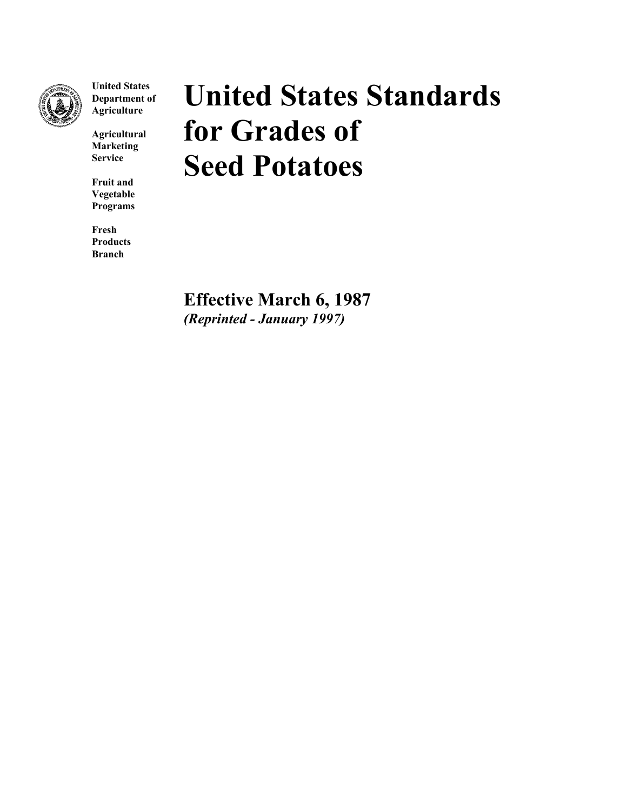

**United States Department of Agriculture**

**Agricultural Marketing Service**

**Fruit and Vegetable Programs**

**Fresh Products Branch**

# **United States Standards for Grades of Seed Potatoes**

**Effective March 6, 1987** *(Reprinted - January 1997)*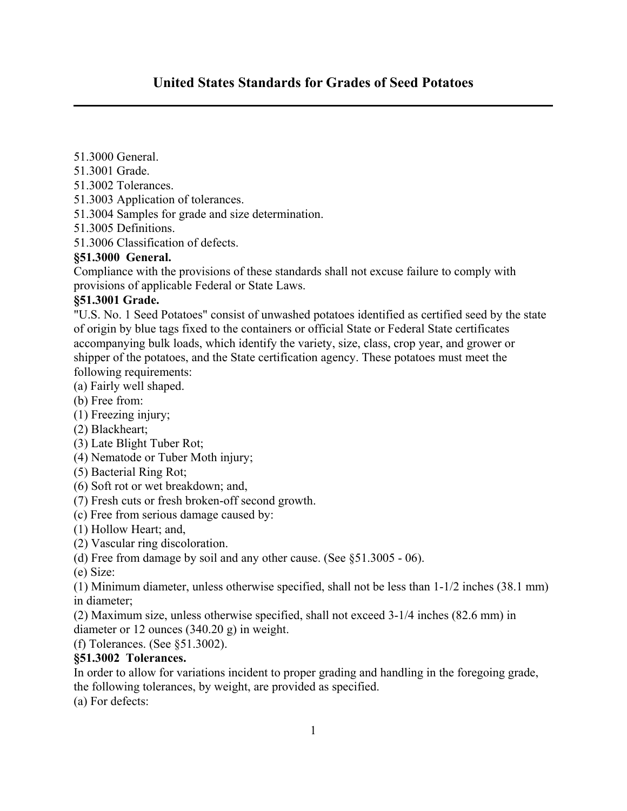# **United States Standards for Grades of Seed Potatoes**

- 51.3000 General.
- 51.3001 Grade.
- 51.3002 Tolerances.
- 51.3003 Application of tolerances.
- 51.3004 Samples for grade and size determination.
- 51.3005 Definitions.

51.3006 Classification of defects.

#### **§51.3000 General.**

Compliance with the provisions of these standards shall not excuse failure to comply with provisions of applicable Federal or State Laws.

#### **§51.3001 Grade.**

"U.S. No. 1 Seed Potatoes" consist of unwashed potatoes identified as certified seed by the state of origin by blue tags fixed to the containers or official State or Federal State certificates accompanying bulk loads, which identify the variety, size, class, crop year, and grower or shipper of the potatoes, and the State certification agency. These potatoes must meet the following requirements:

- (a) Fairly well shaped.
- (b) Free from:
- (1) Freezing injury;
- (2) Blackheart;
- (3) Late Blight Tuber Rot;
- (4) Nematode or Tuber Moth injury;
- (5) Bacterial Ring Rot;
- (6) Soft rot or wet breakdown; and,
- (7) Fresh cuts or fresh broken-off second growth.
- (c) Free from serious damage caused by:
- (1) Hollow Heart; and,
- (2) Vascular ring discoloration.
- (d) Free from damage by soil and any other cause. (See §51.3005 06).

(e) Size:

(1) Minimum diameter, unless otherwise specified, shall not be less than 1-1/2 inches (38.1 mm) in diameter;

(2) Maximum size, unless otherwise specified, shall not exceed 3-1/4 inches (82.6 mm) in diameter or 12 ounces (340.20 g) in weight.

(f) Tolerances. (See §51.3002).

#### **§51.3002 Tolerances.**

In order to allow for variations incident to proper grading and handling in the foregoing grade, the following tolerances, by weight, are provided as specified.

(a) For defects: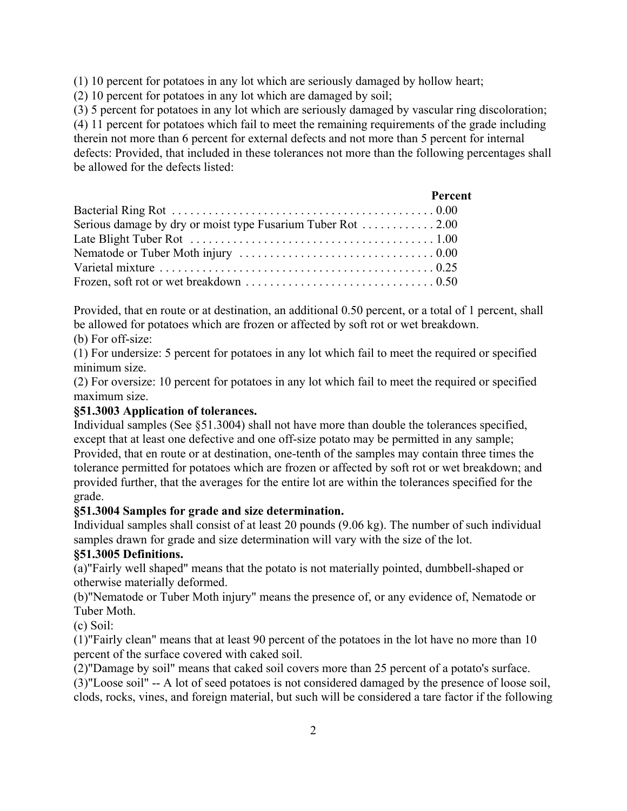(1) 10 percent for potatoes in any lot which are seriously damaged by hollow heart;

(2) 10 percent for potatoes in any lot which are damaged by soil;

(3) 5 percent for potatoes in any lot which are seriously damaged by vascular ring discoloration; (4) 11 percent for potatoes which fail to meet the remaining requirements of the grade including therein not more than 6 percent for external defects and not more than 5 percent for internal defects: Provided, that included in these tolerances not more than the following percentages shall be allowed for the defects listed:

|                                                             | Percent |
|-------------------------------------------------------------|---------|
|                                                             |         |
| Serious damage by dry or moist type Fusarium Tuber Rot 2.00 |         |
|                                                             |         |
|                                                             |         |
|                                                             |         |
|                                                             |         |

Provided, that en route or at destination, an additional 0.50 percent, or a total of 1 percent, shall be allowed for potatoes which are frozen or affected by soft rot or wet breakdown.

(b) For off-size:

(1) For undersize: 5 percent for potatoes in any lot which fail to meet the required or specified minimum size.

(2) For oversize: 10 percent for potatoes in any lot which fail to meet the required or specified maximum size.

## **§51.3003 Application of tolerances.**

Individual samples (See §51.3004) shall not have more than double the tolerances specified, except that at least one defective and one off-size potato may be permitted in any sample; Provided, that en route or at destination, one-tenth of the samples may contain three times the tolerance permitted for potatoes which are frozen or affected by soft rot or wet breakdown; and provided further, that the averages for the entire lot are within the tolerances specified for the grade.

### **§51.3004 Samples for grade and size determination.**

Individual samples shall consist of at least 20 pounds (9.06 kg). The number of such individual samples drawn for grade and size determination will vary with the size of the lot.

# **§51.3005 Definitions.**

(a)"Fairly well shaped" means that the potato is not materially pointed, dumbbell-shaped or otherwise materially deformed.

(b)"Nematode or Tuber Moth injury" means the presence of, or any evidence of, Nematode or Tuber Moth.

(c) Soil:

(1)"Fairly clean" means that at least 90 percent of the potatoes in the lot have no more than 10 percent of the surface covered with caked soil.

(2)"Damage by soil" means that caked soil covers more than 25 percent of a potato's surface.

(3)"Loose soil" -- A lot of seed potatoes is not considered damaged by the presence of loose soil, clods, rocks, vines, and foreign material, but such will be considered a tare factor if the following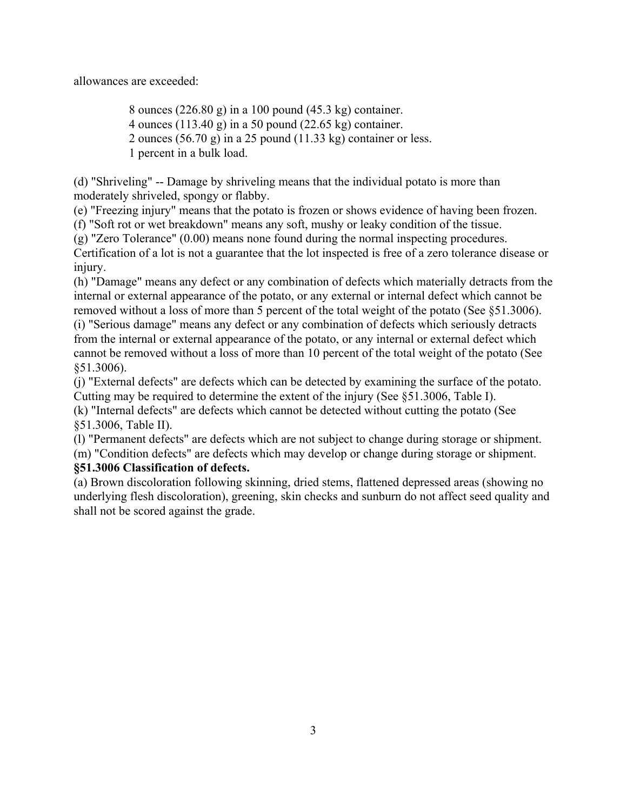allowances are exceeded:

8 ounces (226.80 g) in a 100 pound (45.3 kg) container. 4 ounces (113.40 g) in a 50 pound (22.65 kg) container. 2 ounces  $(56.70 \text{ g})$  in a 25 pound  $(11.33 \text{ kg})$  container or less. 1 percent in a bulk load.

(d) "Shriveling" -- Damage by shriveling means that the individual potato is more than moderately shriveled, spongy or flabby.

(e) "Freezing injury" means that the potato is frozen or shows evidence of having been frozen.

(f) "Soft rot or wet breakdown" means any soft, mushy or leaky condition of the tissue.

(g) "Zero Tolerance" (0.00) means none found during the normal inspecting procedures.

Certification of a lot is not a guarantee that the lot inspected is free of a zero tolerance disease or injury.

(h) "Damage" means any defect or any combination of defects which materially detracts from the internal or external appearance of the potato, or any external or internal defect which cannot be removed without a loss of more than 5 percent of the total weight of the potato (See §51.3006).

(i) "Serious damage" means any defect or any combination of defects which seriously detracts from the internal or external appearance of the potato, or any internal or external defect which cannot be removed without a loss of more than 10 percent of the total weight of the potato (See §51.3006).

(j) "External defects" are defects which can be detected by examining the surface of the potato. Cutting may be required to determine the extent of the injury (See §51.3006, Table I).

(k) "Internal defects" are defects which cannot be detected without cutting the potato (See §51.3006, Table II).

(l) "Permanent defects" are defects which are not subject to change during storage or shipment.

(m) "Condition defects" are defects which may develop or change during storage or shipment.

## **§51.3006 Classification of defects.**

(a) Brown discoloration following skinning, dried stems, flattened depressed areas (showing no underlying flesh discoloration), greening, skin checks and sunburn do not affect seed quality and shall not be scored against the grade.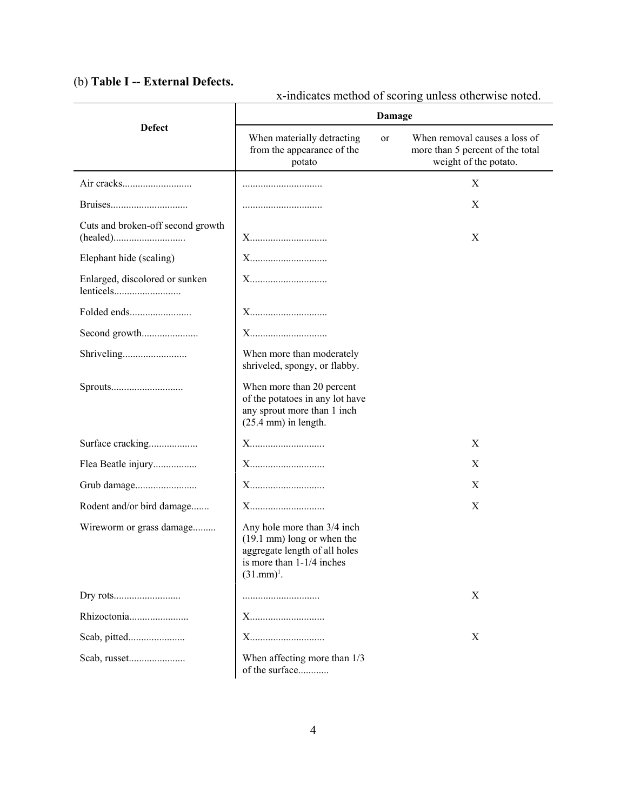# (b) **Table I -- External Defects.**

|                                   | Damage                                                                                                                                             |                                                                                            |  |
|-----------------------------------|----------------------------------------------------------------------------------------------------------------------------------------------------|--------------------------------------------------------------------------------------------|--|
| <b>Defect</b>                     | When materially detracting<br>or<br>from the appearance of the<br>potato                                                                           | When removal causes a loss of<br>more than 5 percent of the total<br>weight of the potato. |  |
|                                   |                                                                                                                                                    | X                                                                                          |  |
|                                   |                                                                                                                                                    | X                                                                                          |  |
| Cuts and broken-off second growth | X                                                                                                                                                  | X                                                                                          |  |
| Elephant hide (scaling)           | X                                                                                                                                                  |                                                                                            |  |
| Enlarged, discolored or sunken    |                                                                                                                                                    |                                                                                            |  |
|                                   | X                                                                                                                                                  |                                                                                            |  |
| Second growth                     | X                                                                                                                                                  |                                                                                            |  |
|                                   | When more than moderately<br>shriveled, spongy, or flabby.                                                                                         |                                                                                            |  |
|                                   | When more than 20 percent<br>of the potatoes in any lot have<br>any sprout more than 1 inch<br>$(25.4 \text{ mm})$ in length.                      |                                                                                            |  |
| Surface cracking                  | X                                                                                                                                                  | X                                                                                          |  |
| Flea Beatle injury                | X                                                                                                                                                  | X                                                                                          |  |
|                                   | X                                                                                                                                                  | X                                                                                          |  |
| Rodent and/or bird damage         | X                                                                                                                                                  | X                                                                                          |  |
| Wireworm or grass damage          | Any hole more than 3/4 inch<br>$(19.1 \text{ mm})$ long or when the<br>aggregate length of all holes<br>is more than 1-1/4 inches<br>$(31.mm)^1$ . |                                                                                            |  |
|                                   |                                                                                                                                                    | X                                                                                          |  |
|                                   | X                                                                                                                                                  |                                                                                            |  |
|                                   | X                                                                                                                                                  | X                                                                                          |  |
| Scab, russet                      | When affecting more than 1/3<br>of the surface                                                                                                     |                                                                                            |  |

x-indicates method of scoring unless otherwise noted.